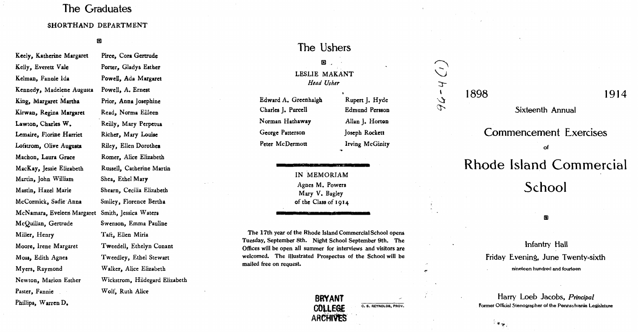## The Graduates The Graduates

#### SHORTHAND DEPARTMENT SHORTHAND DEPARTMENT

#### $\mathbf{E}$

Swenson, Emma Pauline McQuillan, Gertrude Swenson, Emma Pauline Phillips, Warren D. Phillips, Warren D. Keely. Katherine Margaret Keely, Katherine Margaret Kelly. Everett Vale Kelly, Everett Vale Kelman, Fannie Ida Kennedy. Madelene Augusta Kennedy, Madelene Augusta King. Margaret Martha King, Margaret Martha Kirwan. Regina Margaret Kirwan, Regina Margaret Lawton. Charles W. Lawton, Charles W. Lemaire. Florine Harriet Lemaire, Florine Harriet Lofstrom, Olive Augusta Machen, Laura Grace Machon, Laura Grace MacKay. Jessie Elizabeth MacKay, Jessie Elizabeth Martin, John William Mastin. Hazel Marie Mastin, Hazel Marie McCormick. Sadie'Anna McCormick, Sadie' Anna McNamara. Eveleen Margaret McNamara, Eveleen Margaret Smith, Jessica Waters McQuillan. Gertrude Miller. Henry Miller, Henry Moore. Irene Margaret Moore, Irene Margaret Moss, Edith Agnes Myers, Raymond Myers, Raymond Newton. Marion Esther Newton, Marion Esther Paster, Fannie Paster, Fannie

Pirce, Cora Gertrude Pirce, Cora Gertrude Porter. Gladys Esther Porter, Gladys Esther Powell. Ada Margaret Powell, Ada Margaret Powell. A. Ernest Powell, A. Ernest Prior, Anna Josephine Read. Norma Eilleen Read, Norma Eilleen Reilly, Mary Perpetua Richer. Mary Louise Richer, Mary Louiae Riley. Ellen Dorothea Riley, Ellen Dorothea Romer. Alice Elizabeth Romer, Alice Elizabeth Russell. Catherine Martin Russell, Catherine Martin Shea, Ethel Mar**y** Shearn, Cecilia Elizabeth Shearn, Cecilia Elizabeth Smiley, Florence Bertha Smiley, Florence Bertha Smith, Jessica Waters Taft. Ellen Miria Taft, Ellen Miria Tweedell, Ethelyn Conant TweedeU, Ethelyn Conant Tweedley, Ethel Stewart Tweedley, Ethel Stewart Walker. Alice Elizabeth Walker, Alice Elizabeth

Wickstrom, Hildegard Elizabeth Wickstrom, Hildegard Elizabeth

Wolf, Ruth Alice Wolf, Ruth Alice

## The Ushers The Ushers

## GJ. GJ. LESLIE MAKANT LESLIE MAKANT *Head Usher Head Usher*

Edward A. Greenhalgh Edward A. Greenhalgh Charles J. Purcell Charles J. Purcell N orman Hathaway N orman Hathaway George Patterson George Patterson Peter McDermott Peter McDermott

Rupen J. Hyde Rupen J. Hyde Edmund Persson Edmund Persson Allan J. Hort**on** Joseph Rockett Joseph Rockett Irving McGinity Irving McGinity

IN MEMORIAM IN MEMORIAM Agnes M. Powers Agnes M. Powers Mary V. Bagley Mary V. Bagley of the Class of 1914 of the Class of 1914

The 17th year of the Rhode Island CommercialSchool opens The 17th year of Rhode Commercial School opens Tuesday. September 8th. Night School September 9th. The Tuesday. September 8th. Night School September 9th. The Offices will be open all summer for interviews and visitors are welcomed. The illustrated Prospectus of the School will be mailed free on request. mailed free on request.



C. S. REYNOLDS, PROV.

 $-4$  $\sum_{i=1}^{n}$ J.

1898

1914 1898 1914

Sixteenth Annual Sixteenth Annual

# of of Commencement Exercises Rhode Island Commercial

School

## in j

## nineteen hundred and fourteen nineteen hundred and fourteen Infantry Hall lnfantry Hall Friday Evening, June Twenty-sixth Friday Evening, June Twenty-sixth

Harry Loeb Jacobs, *Principal* Harry Loeb Jacobs, *Principal*  former Official Stenographer of the Pennsylvania Legislature former Official Stenographer of the Pennsylvania Legislature

 $\sim$  K  $_{\rm{up}}$